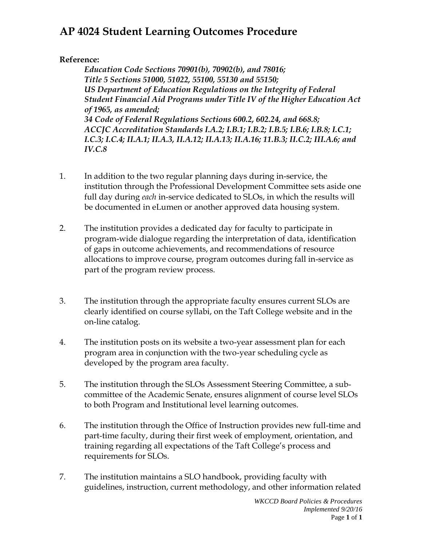## **AP 4024 Student Learning Outcomes Procedure**

## **Reference:**

*Education Code Sections 70901(b), 70902(b), and 78016; Title 5 Sections 51000, 51022, 55100, 55130 and 55150; US Department of Education Regulations on the Integrity of Federal Student Financial Aid Programs under Title IV of the Higher Education Act of 1965, as amended; 34 Code of Federal Regulations Sections 600.2, 602.24, and 668.8; ACCJC Accreditation Standards I.A.2; I.B.1; I.B.2; I.B.5; I.B.6; I.B.8; I.C.1; I.C.3; I.C.4; II.A.1; II.A.3, II.A.12; II.A.13; II.A.16; 11.B.3; II.C.2; III.A.6; and IV.C.8*

- 1. In addition to the two regular planning days during in-service, the institution through the Professional Development Committee sets aside one full day during *each* in-service dedicated to SLOs, in which the results will be documented in eLumen or another approved data housing system.
- 2. The institution provides a dedicated day for faculty to participate in program-wide dialogue regarding the interpretation of data, identification of gaps in outcome achievements, and recommendations of resource allocations to improve course, program outcomes during fall in-service as part of the program review process.
- 3. The institution through the appropriate faculty ensures current SLOs are clearly identified on course syllabi, on the Taft College website and in the on-line catalog.
- 4. The institution posts on its website a two-year assessment plan for each program area in conjunction with the two-year scheduling cycle as developed by the program area faculty.
- 5. The institution through the SLOs Assessment Steering Committee, a subcommittee of the Academic Senate, ensures alignment of course level SLOs to both Program and Institutional level learning outcomes.
- 6. The institution through the Office of Instruction provides new full-time and part-time faculty, during their first week of employment, orientation, and training regarding all expectations of the Taft College's process and requirements for SLOs.
- 7. The institution maintains a SLO handbook, providing faculty with guidelines, instruction, current methodology, and other information related